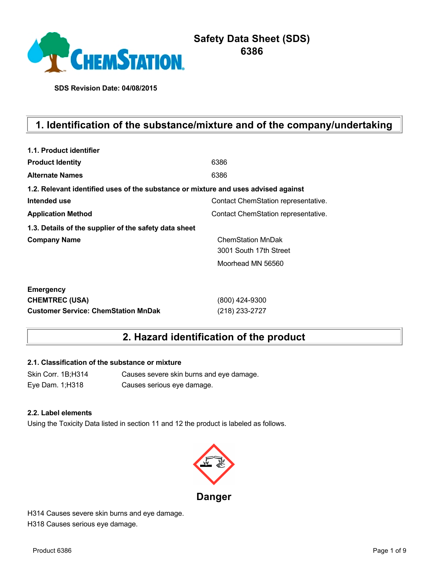

# **Safety Data Sheet (SDS) 6386**

**SDS Revision Date: 04/08/2015**

# **1. Identification of the substance/mixture and of the company/undertaking**

| 1.1. Product identifier                                                            |                                     |
|------------------------------------------------------------------------------------|-------------------------------------|
| <b>Product Identity</b>                                                            | 6386                                |
| <b>Alternate Names</b>                                                             | 6386                                |
| 1.2. Relevant identified uses of the substance or mixture and uses advised against |                                     |
| Intended use                                                                       | Contact ChemStation representative. |
| <b>Application Method</b>                                                          | Contact ChemStation representative. |
| 1.3. Details of the supplier of the safety data sheet                              |                                     |
| <b>Company Name</b>                                                                | <b>ChemStation MnDak</b>            |
|                                                                                    | 3001 South 17th Street              |
|                                                                                    | Moorhead MN 56560                   |
| <b>Emergency</b>                                                                   |                                     |
| <b>CHEMTREC (USA)</b>                                                              | (800) 424-9300                      |
| <b>Customer Service: ChemStation MnDak</b>                                         | (218) 233-2727                      |

# **2. Hazard identification of the product**

## **2.1. Classification of the substance or mixture**

Skin Corr. 1B;H314 Causes severe skin burns and eye damage. Eye Dam. 1;H318 Causes serious eye damage.

#### **2.2. Label elements**

Using the Toxicity Data listed in section 11 and 12 the product is labeled as follows.



H314 Causes severe skin burns and eye damage. H318 Causes serious eye damage.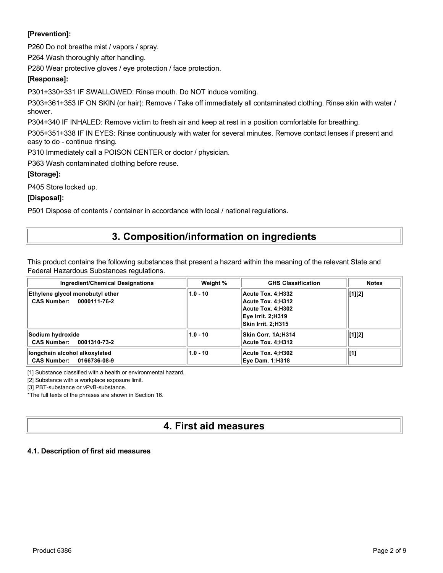## **[Prevention]:**

P260 Do not breathe mist / vapors / spray.

P264 Wash thoroughly after handling.

P280 Wear protective gloves / eye protection / face protection.

### **[Response]:**

P301+330+331 IF SWALLOWED: Rinse mouth. Do NOT induce vomiting.

P303+361+353 IF ON SKIN (or hair): Remove / Take off immediately all contaminated clothing. Rinse skin with water / shower.

P304+340 IF INHALED: Remove victim to fresh air and keep at rest in a position comfortable for breathing.

P305+351+338 IF IN EYES: Rinse continuously with water for several minutes. Remove contact lenses if present and easy to do - continue rinsing.

P310 Immediately call a POISON CENTER or doctor / physician.

P363 Wash contaminated clothing before reuse.

### **[Storage]:**

P405 Store locked up.

### **[Disposal]:**

P501 Dispose of contents / container in accordance with local / national regulations.

# **3. Composition/information on ingredients**

This product contains the following substances that present a hazard within the meaning of the relevant State and Federal Hazardous Substances regulations.

| <b>Ingredient/Chemical Designations</b>                             | Weight %   | <b>GHS Classification</b>                                                                                     | <b>Notes</b> |
|---------------------------------------------------------------------|------------|---------------------------------------------------------------------------------------------------------------|--------------|
| Ethylene glycol monobutyl ether<br>CAS Number: 0000111-76-2         | $1.0 - 10$ | Acute Tox. 4:H332<br>Acute Tox. 4:H312<br>Acute Tox. 4:H302<br><b>Eye Irrit. 2;H319</b><br>Skin Irrit. 2:H315 | $[1][2]$     |
| Sodium hydroxide<br><b>CAS Number:</b><br>0001310-73-2              | $1.0 - 10$ | Skin Corr. 1A:H314<br>Acute Tox. 4:H312                                                                       | [1][2]       |
| longchain alcohol alkoxylated<br><b>CAS Number:</b><br>0166736-08-9 | $1.0 - 10$ | Acute Tox. 4:H302<br><b>Eve Dam. 1:H318</b>                                                                   | [1]          |

[1] Substance classified with a health or environmental hazard.

[2] Substance with a workplace exposure limit.

[3] PBT-substance or vPvB-substance.

\*The full texts of the phrases are shown in Section 16.

# **4. First aid measures**

### **4.1. Description of first aid measures**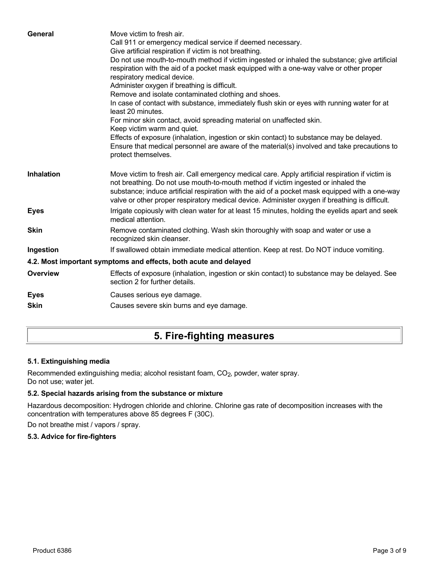| General           | Move victim to fresh air.<br>Call 911 or emergency medical service if deemed necessary.<br>Give artificial respiration if victim is not breathing.<br>Do not use mouth-to-mouth method if victim ingested or inhaled the substance; give artificial<br>respiration with the aid of a pocket mask equipped with a one-way valve or other proper<br>respiratory medical device.<br>Administer oxygen if breathing is difficult.<br>Remove and isolate contaminated clothing and shoes.<br>In case of contact with substance, immediately flush skin or eyes with running water for at<br>least 20 minutes.<br>For minor skin contact, avoid spreading material on unaffected skin.<br>Keep victim warm and quiet.<br>Effects of exposure (inhalation, ingestion or skin contact) to substance may be delayed.<br>Ensure that medical personnel are aware of the material(s) involved and take precautions to<br>protect themselves. |
|-------------------|-----------------------------------------------------------------------------------------------------------------------------------------------------------------------------------------------------------------------------------------------------------------------------------------------------------------------------------------------------------------------------------------------------------------------------------------------------------------------------------------------------------------------------------------------------------------------------------------------------------------------------------------------------------------------------------------------------------------------------------------------------------------------------------------------------------------------------------------------------------------------------------------------------------------------------------|
| <b>Inhalation</b> | Move victim to fresh air. Call emergency medical care. Apply artificial respiration if victim is<br>not breathing. Do not use mouth-to-mouth method if victim ingested or inhaled the<br>substance; induce artificial respiration with the aid of a pocket mask equipped with a one-way<br>valve or other proper respiratory medical device. Administer oxygen if breathing is difficult.                                                                                                                                                                                                                                                                                                                                                                                                                                                                                                                                         |
| <b>Eyes</b>       | Irrigate copiously with clean water for at least 15 minutes, holding the eyelids apart and seek<br>medical attention.                                                                                                                                                                                                                                                                                                                                                                                                                                                                                                                                                                                                                                                                                                                                                                                                             |
| <b>Skin</b>       | Remove contaminated clothing. Wash skin thoroughly with soap and water or use a<br>recognized skin cleanser.                                                                                                                                                                                                                                                                                                                                                                                                                                                                                                                                                                                                                                                                                                                                                                                                                      |
| Ingestion         | If swallowed obtain immediate medical attention. Keep at rest. Do NOT induce vomiting.                                                                                                                                                                                                                                                                                                                                                                                                                                                                                                                                                                                                                                                                                                                                                                                                                                            |
|                   | 4.2. Most important symptoms and effects, both acute and delayed                                                                                                                                                                                                                                                                                                                                                                                                                                                                                                                                                                                                                                                                                                                                                                                                                                                                  |
| <b>Overview</b>   | Effects of exposure (inhalation, ingestion or skin contact) to substance may be delayed. See<br>section 2 for further details.                                                                                                                                                                                                                                                                                                                                                                                                                                                                                                                                                                                                                                                                                                                                                                                                    |
| <b>Eyes</b>       | Causes serious eye damage.                                                                                                                                                                                                                                                                                                                                                                                                                                                                                                                                                                                                                                                                                                                                                                                                                                                                                                        |
| <b>Skin</b>       | Causes severe skin burns and eye damage.                                                                                                                                                                                                                                                                                                                                                                                                                                                                                                                                                                                                                                                                                                                                                                                                                                                                                          |
|                   |                                                                                                                                                                                                                                                                                                                                                                                                                                                                                                                                                                                                                                                                                                                                                                                                                                                                                                                                   |

# **5. Fire-fighting measures**

## **5.1. Extinguishing media**

Recommended extinguishing media; alcohol resistant foam, CO<sub>2</sub>, powder, water spray. Do not use; water jet.

### **5.2. Special hazards arising from the substance or mixture**

Hazardous decomposition: Hydrogen chloride and chlorine. Chlorine gas rate of decomposition increases with the concentration with temperatures above 85 degrees F (30C).

Do not breathe mist / vapors / spray.

### **5.3. Advice for fire-fighters**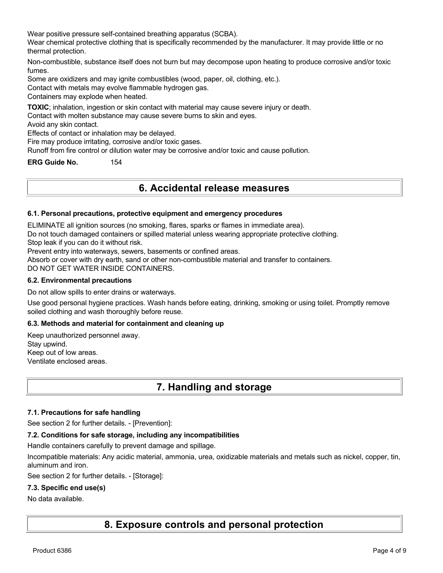Wear positive pressure self-contained breathing apparatus (SCBA).

Wear chemical protective clothing that is specifically recommended by the manufacturer. It may provide little or no thermal protection.

Non-combustible, substance itself does not burn but may decompose upon heating to produce corrosive and/or toxic fumes.

Some are oxidizers and may ignite combustibles (wood, paper, oil, clothing, etc.).

Contact with metals may evolve flammable hydrogen gas.

Containers may explode when heated.

**TOXIC**; inhalation, ingestion or skin contact with material may cause severe injury or death.

Contact with molten substance may cause severe burns to skin and eyes.

Avoid any skin contact.

Effects of contact or inhalation may be delayed.

Fire may produce irritating, corrosive and/or toxic gases.

Runoff from fire control or dilution water may be corrosive and/or toxic and cause pollution.

**ERG Guide No.** 154

# **6. Accidental release measures**

#### **6.1. Personal precautions, protective equipment and emergency procedures**

ELIMINATE all ignition sources (no smoking, flares, sparks or flames in immediate area).

Do not touch damaged containers or spilled material unless wearing appropriate protective clothing.

Stop leak if you can do it without risk.

Prevent entry into waterways, sewers, basements or confined areas.

Absorb or cover with dry earth, sand or other non-combustible material and transfer to containers.

DO NOT GET WATER INSIDE CONTAINERS.

#### **6.2. Environmental precautions**

Do not allow spills to enter drains or waterways.

Use good personal hygiene practices. Wash hands before eating, drinking, smoking or using toilet. Promptly remove soiled clothing and wash thoroughly before reuse.

#### **6.3. Methods and material for containment and cleaning up**

Keep unauthorized personnel away. Stay upwind. Keep out of low areas. Ventilate enclosed areas.

# **7. Handling and storage**

#### **7.1. Precautions for safe handling**

See section 2 for further details. - [Prevention]:

#### **7.2. Conditions for safe storage, including any incompatibilities**

Handle containers carefully to prevent damage and spillage.

Incompatible materials: Any acidic material, ammonia, urea, oxidizable materials and metals such as nickel, copper, tin, aluminum and iron.

See section 2 for further details. - [Storage]:

#### **7.3. Specific end use(s)**

#### No data available.

**8. Exposure controls and personal protection**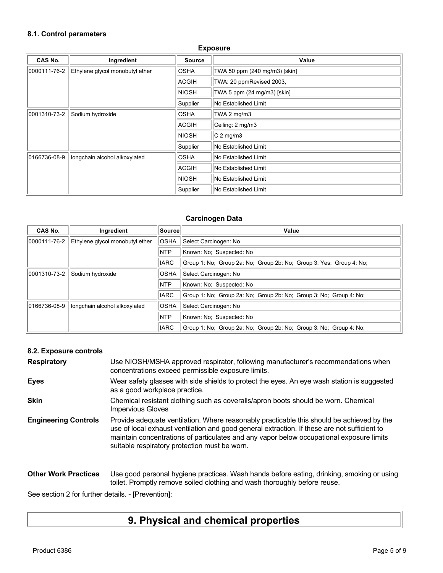# **8.1. Control parameters**

| <b>Exposure</b> |                                 |               |                               |
|-----------------|---------------------------------|---------------|-------------------------------|
| CAS No.         | Ingredient                      | <b>Source</b> | Value                         |
| 0000111-76-2    | Ethylene glycol monobutyl ether | <b>OSHA</b>   | TWA 50 ppm (240 mg/m3) [skin] |
|                 |                                 | ACGIH         | TWA: 20 ppmRevised 2003,      |
|                 |                                 | <b>NIOSH</b>  | TWA 5 ppm (24 mg/m3) [skin]   |
|                 |                                 | Supplier      | No Established Limit          |
| 0001310-73-2    | Sodium hydroxide                | <b>OSHA</b>   | TWA 2 mg/m3                   |
|                 |                                 | ACGIH         | Ceiling: 2 mg/m3              |
|                 |                                 | <b>NIOSH</b>  | $C2$ mg/m3                    |
|                 |                                 | Supplier      | No Established Limit          |
| 0166736-08-9    | longchain alcohol alkoxylated   | <b>OSHA</b>   | No Established Limit          |
|                 |                                 | ACGIH         | <b>No Established Limit</b>   |
|                 |                                 | <b>NIOSH</b>  | No Established Limit          |
|                 |                                 | Supplier      | No Established Limit          |

### **Carcinogen Data**

| <b>CAS No.</b> | Ingredient                      | Source      | Value                                                               |
|----------------|---------------------------------|-------------|---------------------------------------------------------------------|
| 0000111-76-2   | Ethylene glycol monobutyl ether | <b>OSHA</b> | Select Carcinogen: No                                               |
|                |                                 | <b>NTP</b>  | Known: No; Suspected: No                                            |
|                |                                 | <b>IARC</b> | Group 1: No: Group 2a: No: Group 2b: No: Group 3: Yes: Group 4: No: |
| 0001310-73-2   | Sodium hydroxide                | <b>OSHA</b> | Select Carcinogen: No                                               |
|                |                                 | <b>NTP</b>  | Known: No: Suspected: No                                            |
|                |                                 | <b>IARC</b> | Group 1: No: Group 2a: No: Group 2b: No: Group 3: No: Group 4: No:  |
| 0166736-08-9   | longchain alcohol alkoxylated   | <b>OSHA</b> | Select Carcinogen: No                                               |
|                |                                 | <b>NTP</b>  | Known: No; Suspected: No                                            |
|                |                                 | <b>IARC</b> | Group 1: No: Group 2a: No: Group 2b: No: Group 3: No: Group 4: No:  |

## **8.2. Exposure controls**

| <b>Respiratory</b>          | Use NIOSH/MSHA approved respirator, following manufacturer's recommendations when<br>concentrations exceed permissible exposure limits.                                                                                                                                                                                                |
|-----------------------------|----------------------------------------------------------------------------------------------------------------------------------------------------------------------------------------------------------------------------------------------------------------------------------------------------------------------------------------|
| <b>Eyes</b>                 | Wear safety glasses with side shields to protect the eyes. An eye wash station is suggested<br>as a good workplace practice.                                                                                                                                                                                                           |
| <b>Skin</b>                 | Chemical resistant clothing such as coveralls/apron boots should be worn. Chemical<br><b>Impervious Gloves</b>                                                                                                                                                                                                                         |
| <b>Engineering Controls</b> | Provide adequate ventilation. Where reasonably practicable this should be achieved by the<br>use of local exhaust ventilation and good general extraction. If these are not sufficient to<br>maintain concentrations of particulates and any vapor below occupational exposure limits<br>suitable respiratory protection must be worn. |
| <b>Other Work Practices</b> | Use good personal hygiene practices. Wash hands before eating, drinking, smoking or using<br>toilet. Promptly remove soiled clothing and wash thoroughly before reuse.                                                                                                                                                                 |

See section 2 for further details. - [Prevention]:

# **9. Physical and chemical properties**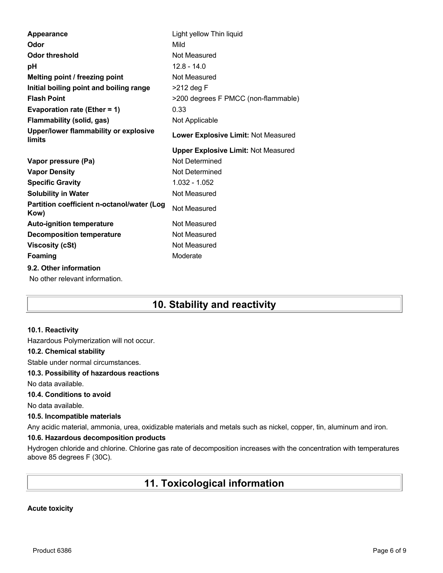| Appearance                                               | Light yellow Thin liquid                   |
|----------------------------------------------------------|--------------------------------------------|
| Odor                                                     | Mild                                       |
| <b>Odor threshold</b>                                    | Not Measured                               |
| рH                                                       | $12.8 - 14.0$                              |
| Melting point / freezing point                           | Not Measured                               |
| Initial boiling point and boiling range                  | $>212$ deg F                               |
| <b>Flash Point</b>                                       | >200 degrees F PMCC (non-flammable)        |
| Evaporation rate (Ether = 1)                             | 0.33                                       |
| <b>Flammability (solid, gas)</b>                         | Not Applicable                             |
| Upper/lower flammability or explosive<br>limits          | Lower Explosive Limit: Not Measured        |
|                                                          | <b>Upper Explosive Limit: Not Measured</b> |
| Vapor pressure (Pa)                                      | Not Determined                             |
| <b>Vapor Density</b>                                     | Not Determined                             |
|                                                          |                                            |
| <b>Specific Gravity</b>                                  | 1.032 - 1.052                              |
| <b>Solubility in Water</b>                               | Not Measured                               |
| Partition coefficient n-octanol/water (Log<br>Kow)       | Not Measured                               |
| <b>Auto-ignition temperature</b>                         | Not Measured                               |
| <b>Decomposition temperature</b>                         | Not Measured                               |
| <b>Viscosity (cSt)</b>                                   | Not Measured                               |
| <b>Foaming</b>                                           | Moderate                                   |
| 9.2. Other information<br>No other relevant information. |                                            |

# **10. Stability and reactivity**

#### **10.1. Reactivity**

Hazardous Polymerization will not occur.

#### **10.2. Chemical stability**

Stable under normal circumstances.

#### **10.3. Possibility of hazardous reactions**

No data available.

### **10.4. Conditions to avoid**

No data available.

#### **10.5. Incompatible materials**

Any acidic material, ammonia, urea, oxidizable materials and metals such as nickel, copper, tin, aluminum and iron.

### **10.6. Hazardous decomposition products**

Hydrogen chloride and chlorine. Chlorine gas rate of decomposition increases with the concentration with temperatures above 85 degrees F (30C).

# **11. Toxicological information**

#### **Acute toxicity**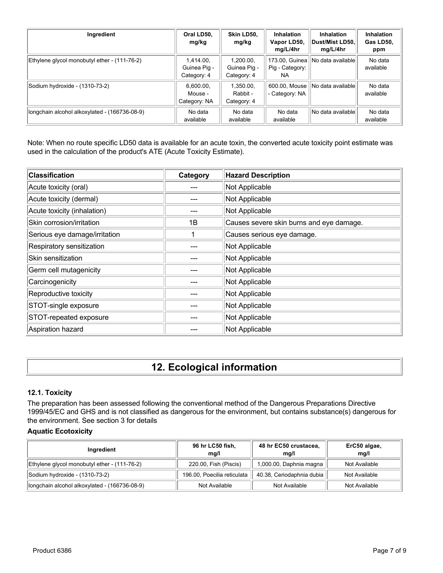| Ingredient                                    | Oral LD50,<br>mg/kg                      | Skin LD50,<br>mg/kg                      | <b>Inhalation</b><br>Vapor LD50,<br>mg/L/4hr | <b>Inhalation</b><br>∣Dust/Mist LD50.∣<br>mg/L/4hr | <b>Inhalation</b><br>Gas LD50,<br>ppm |
|-----------------------------------------------|------------------------------------------|------------------------------------------|----------------------------------------------|----------------------------------------------------|---------------------------------------|
| Ethylene glycol monobutyl ether - (111-76-2)  | 1.414.00.<br>Guinea Pig -<br>Category: 4 | 1.200.00.<br>Guinea Pig -<br>Category: 4 | Pig - Category:<br>NA.                       | 173.00, Guinea   No data available                 | No data<br>available                  |
| Sodium hydroxide - (1310-73-2)                | 6.600.00.<br>Mouse -<br>Category: NA     | 1,350.00,<br>Rabbit -<br>Category: 4     | 600.00, Mouse<br>- Category: NA              | No data available                                  | No data<br>available                  |
| longchain alcohol alkoxylated - (166736-08-9) | No data<br>available                     | No data<br>available                     | No data<br>available                         | No data available                                  | No data<br>available                  |

Note: When no route specific LD50 data is available for an acute toxin, the converted acute toxicity point estimate was used in the calculation of the product's ATE (Acute Toxicity Estimate).

| <b>Classification</b>         | Category | <b>Hazard Description</b>                |
|-------------------------------|----------|------------------------------------------|
| Acute toxicity (oral)         |          | Not Applicable                           |
| Acute toxicity (dermal)       |          | Not Applicable                           |
| Acute toxicity (inhalation)   |          | Not Applicable                           |
| Skin corrosion/irritation     | 1B       | Causes severe skin burns and eye damage. |
| Serious eye damage/irritation |          | Causes serious eye damage.               |
| Respiratory sensitization     |          | Not Applicable                           |
| Skin sensitization            |          | Not Applicable                           |
| Germ cell mutagenicity        |          | Not Applicable                           |
| Carcinogenicity               |          | Not Applicable                           |
| Reproductive toxicity         |          | Not Applicable                           |
| STOT-single exposure          |          | Not Applicable                           |
| STOT-repeated exposure        |          | Not Applicable                           |
| Aspiration hazard             |          | Not Applicable                           |

# **12. Ecological information**

## **12.1. Toxicity**

The preparation has been assessed following the conventional method of the Dangerous Preparations Directive 1999/45/EC and GHS and is not classified as dangerous for the environment, but contains substance(s) dangerous for the environment. See section 3 for details

### **Aquatic Ecotoxicity**

| Ingredient                                    | 96 hr LC50 fish,<br>mq/l    | 48 hr EC50 crustacea,<br>mg/l | ErC50 algae,<br>mq/l |
|-----------------------------------------------|-----------------------------|-------------------------------|----------------------|
| Ethylene glycol monobutyl ether - (111-76-2)  | 220.00, Fish (Piscis)       | 1,000.00, Daphnia magna       | Not Available        |
| Sodium hydroxide - (1310-73-2)                | 196.00, Poecilia reticulata | 40.38, Ceriodaphnia dubia     | Not Available        |
| longchain alcohol alkoxylated - (166736-08-9) | Not Available               | Not Available                 | Not Available        |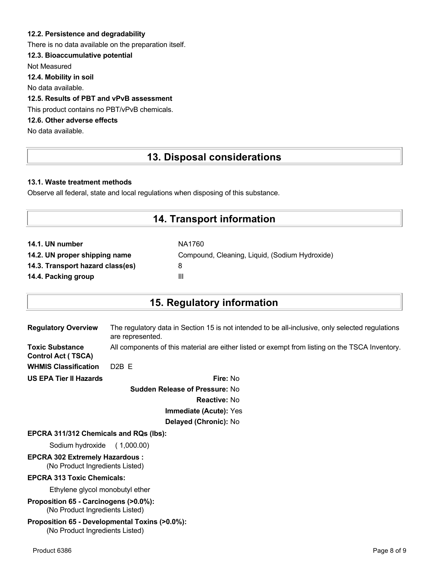### **12.2. Persistence and degradability**

There is no data available on the preparation itself.

### **12.3. Bioaccumulative potential**

Not Measured

**12.4. Mobility in soil**

No data available.

### **12.5. Results of PBT and vPvB assessment**

This product contains no PBT/vPvB chemicals.

# **12.6. Other adverse effects**

No data available.

# **13. Disposal considerations**

#### **13.1. Waste treatment methods**

Observe all federal, state and local regulations when disposing of this substance.

# **14. Transport information**

| NA1760                                         |
|------------------------------------------------|
| Compound, Cleaning, Liquid, (Sodium Hydroxide) |
| 8                                              |
| Ш                                              |
|                                                |

# **15. Regulatory information**

| <b>Regulatory Overview</b>                          | The regulatory data in Section 15 is not intended to be all-inclusive, only selected regulations<br>are represented. |
|-----------------------------------------------------|----------------------------------------------------------------------------------------------------------------------|
| <b>Toxic Substance</b><br><b>Control Act (TSCA)</b> | All components of this material are either listed or exempt from listing on the TSCA Inventory.                      |
| <b>WHMIS Classification</b>                         | $D2B$ F                                                                                                              |
| <b>US EPA Tier II Hazards</b>                       | Fire: No                                                                                                             |
|                                                     |                                                                                                                      |

**Sudden Release of Pressure:** No **Reactive:** No **Immediate (Acute):** Yes **Delayed (Chronic):** No

#### **EPCRA 311/312 Chemicals and RQs (lbs):**

Sodium hydroxide ( 1,000.00)

# **EPCRA 302 Extremely Hazardous :**

(No Product Ingredients Listed)

#### **EPCRA 313 Toxic Chemicals:**

Ethylene glycol monobutyl ether

**Proposition 65 - Carcinogens (>0.0%):** (No Product Ingredients Listed)

#### **Proposition 65 - Developmental Toxins (>0.0%):** (No Product Ingredients Listed)